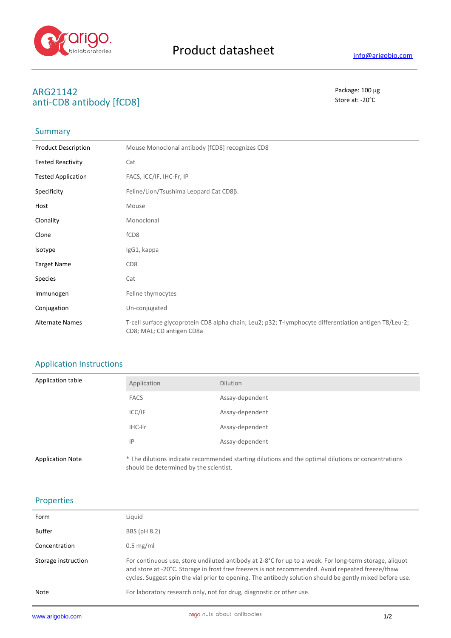

#### **ARG21142** Package: 100 μg **anti-CD8 antibody [fCD8]** Store at: -20°C

## Summary

| <b>Product Description</b> | Mouse Monoclonal antibody [fCD8] recognizes CD8                                                                                     |
|----------------------------|-------------------------------------------------------------------------------------------------------------------------------------|
| <b>Tested Reactivity</b>   | Cat                                                                                                                                 |
| <b>Tested Application</b>  | FACS, ICC/IF, IHC-Fr, IP                                                                                                            |
| Specificity                | Feline/Lion/Tsushima Leopard Cat CD8β.                                                                                              |
| Host                       | Mouse                                                                                                                               |
| Clonality                  | Monoclonal                                                                                                                          |
| Clone                      | fCD <sub>8</sub>                                                                                                                    |
| Isotype                    | IgG1, kappa                                                                                                                         |
| <b>Target Name</b>         | CD <sub>8</sub>                                                                                                                     |
| <b>Species</b>             | Cat                                                                                                                                 |
| Immunogen                  | Feline thymocytes                                                                                                                   |
| Conjugation                | Un-conjugated                                                                                                                       |
| <b>Alternate Names</b>     | T-cell surface glycoprotein CD8 alpha chain; Leu2; p32; T-lymphocyte differentiation antigen T8/Leu-2;<br>CD8; MAL; CD antigen CD8a |

### Application Instructions

| Application table       | Application                            | <b>Dilution</b>                                                                                     |
|-------------------------|----------------------------------------|-----------------------------------------------------------------------------------------------------|
|                         | <b>FACS</b>                            | Assay-dependent                                                                                     |
|                         | ICC/IF                                 | Assay-dependent                                                                                     |
|                         | IHC-Fr                                 | Assay-dependent                                                                                     |
|                         | IP                                     | Assay-dependent                                                                                     |
| <b>Application Note</b> | should be determined by the scientist. | * The dilutions indicate recommended starting dilutions and the optimal dilutions or concentrations |

#### Properties

| Note                | For laboratory research only, not for drug, diagnostic or other use.                                                                                                                                                                                                                                                    |
|---------------------|-------------------------------------------------------------------------------------------------------------------------------------------------------------------------------------------------------------------------------------------------------------------------------------------------------------------------|
| Storage instruction | For continuous use, store undiluted antibody at 2-8°C for up to a week. For long-term storage, aliquot<br>and store at -20°C. Storage in frost free freezers is not recommended. Avoid repeated freeze/thaw<br>cycles. Suggest spin the vial prior to opening. The antibody solution should be gently mixed before use. |
| Concentration       | $0.5 \text{ mg/ml}$                                                                                                                                                                                                                                                                                                     |
| <b>Buffer</b>       | BBS (pH 8.2)                                                                                                                                                                                                                                                                                                            |
| Form                | Liquid                                                                                                                                                                                                                                                                                                                  |